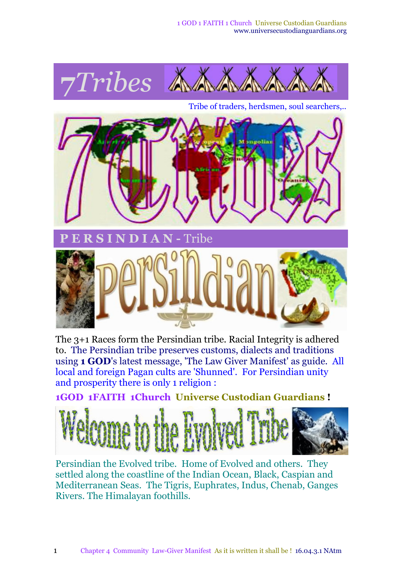

Tribe of traders, herdsmen, soul searchers,..



The 3+1 Races form the Persindian tribe. Racial Integrity is adhered to. The Persindian tribe preserves customs, dialects and traditions using **1 GOD**'s latest message, 'The Law Giver Manifest' as guide. All local and foreign Pagan cults are 'Shunned'. For Persindian unity and prosperity there is only 1 religion :

**1GOD 1FAITH 1Church Universe Custodian Guardians !**



Persindian the Evolved tribe. Home of Evolved and others. They settled along the coastline of the Indian Ocean, Black, Caspian and Mediterranean Seas. The Tigris, Euphrates, Indus, Chenab, Ganges Rivers. The Himalayan foothills.